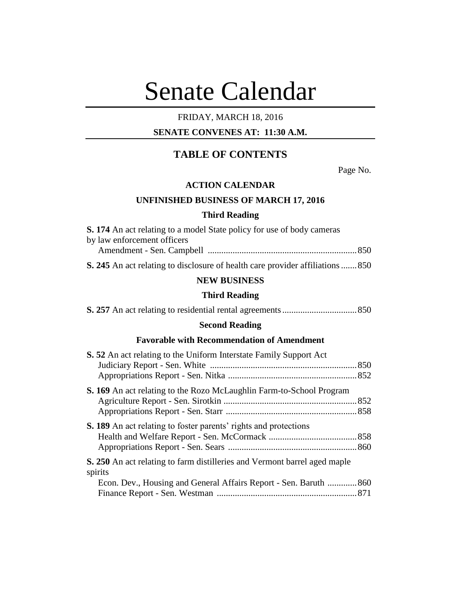# Senate Calendar

## FRIDAY, MARCH 18, 2016

## **SENATE CONVENES AT: 11:30 A.M.**

# **TABLE OF CONTENTS**

Page No.

#### **ACTION CALENDAR**

## **UNFINISHED BUSINESS OF MARCH 17, 2016**

#### **Third Reading**

| <b>S. 174</b> An act relating to a model State policy for use of body cameras  |  |
|--------------------------------------------------------------------------------|--|
| by law enforcement officers                                                    |  |
|                                                                                |  |
| S. 245 An act relating to disclosure of health care provider affiliations  850 |  |

#### **NEW BUSINESS**

## **Third Reading**

## **Second Reading**

## **Favorable with Recommendation of Amendment**

| <b>S.</b> 52 An act relating to the Uniform Interstate Family Support Act        |  |
|----------------------------------------------------------------------------------|--|
|                                                                                  |  |
| <b>S. 169</b> An act relating to the Rozo McLaughlin Farm-to-School Program      |  |
|                                                                                  |  |
|                                                                                  |  |
| <b>S. 189</b> An act relating to foster parents' rights and protections          |  |
|                                                                                  |  |
|                                                                                  |  |
| <b>S. 250</b> An act relating to farm distilleries and Vermont barrel aged maple |  |
| spirits                                                                          |  |
| Econ. Dev., Housing and General Affairs Report - Sen. Baruth  860                |  |
|                                                                                  |  |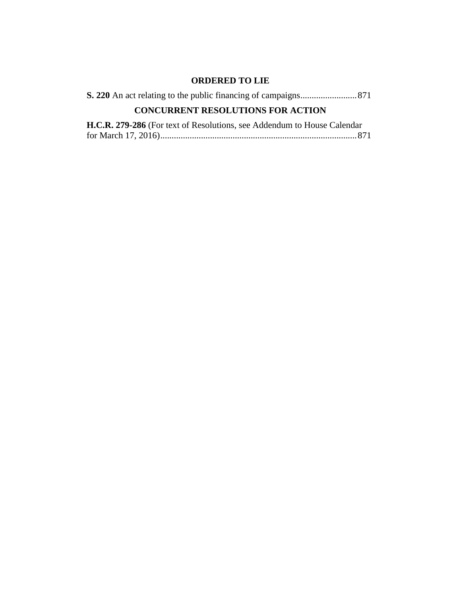# **ORDERED TO LIE**

| <b>CONCURRENT RESOLUTIONS FOR ACTION</b>                                       |
|--------------------------------------------------------------------------------|
| <b>H.C.R. 279-286</b> (For text of Resolutions, see Addendum to House Calendar |

for March 17, 2016).......................................................................................871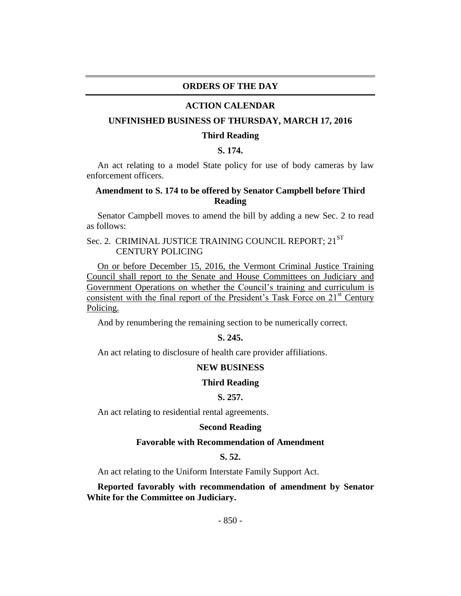#### **ORDERS OF THE DAY**

#### **ACTION CALENDAR**

#### **UNFINISHED BUSINESS OF THURSDAY, MARCH 17, 2016**

#### **Third Reading**

## **S. 174.**

An act relating to a model State policy for use of body cameras by law enforcement officers.

## **Amendment to S. 174 to be offered by Senator Campbell before Third Reading**

Senator Campbell moves to amend the bill by adding a new Sec. 2 to read as follows:

## Sec. 2. CRIMINAL JUSTICE TRAINING COUNCIL REPORT; 21<sup>ST</sup> CENTURY POLICING

On or before December 15, 2016, the Vermont Criminal Justice Training Council shall report to the Senate and House Committees on Judiciary and Government Operations on whether the Council's training and curriculum is consistent with the final report of the President's Task Force on  $21<sup>st</sup>$  Century Policing.

And by renumbering the remaining section to be numerically correct.

## **S. 245.**

An act relating to disclosure of health care provider affiliations.

#### **NEW BUSINESS**

#### **Third Reading**

#### **S. 257.**

An act relating to residential rental agreements.

#### **Second Reading**

#### **Favorable with Recommendation of Amendment**

## **S. 52.**

An act relating to the Uniform Interstate Family Support Act.

**Reported favorably with recommendation of amendment by Senator White for the Committee on Judiciary.**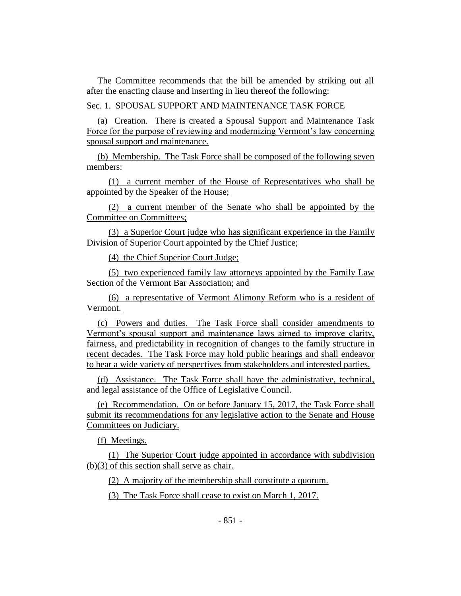The Committee recommends that the bill be amended by striking out all after the enacting clause and inserting in lieu thereof the following:

Sec. 1. SPOUSAL SUPPORT AND MAINTENANCE TASK FORCE

(a) Creation. There is created a Spousal Support and Maintenance Task Force for the purpose of reviewing and modernizing Vermont's law concerning spousal support and maintenance.

(b) Membership. The Task Force shall be composed of the following seven members:

(1) a current member of the House of Representatives who shall be appointed by the Speaker of the House;

(2) a current member of the Senate who shall be appointed by the Committee on Committees;

(3) a Superior Court judge who has significant experience in the Family Division of Superior Court appointed by the Chief Justice;

(4) the Chief Superior Court Judge;

(5) two experienced family law attorneys appointed by the Family Law Section of the Vermont Bar Association; and

(6) a representative of Vermont Alimony Reform who is a resident of Vermont.

(c) Powers and duties. The Task Force shall consider amendments to Vermont's spousal support and maintenance laws aimed to improve clarity, fairness, and predictability in recognition of changes to the family structure in recent decades. The Task Force may hold public hearings and shall endeavor to hear a wide variety of perspectives from stakeholders and interested parties.

(d) Assistance. The Task Force shall have the administrative, technical, and legal assistance of the Office of Legislative Council.

(e) Recommendation. On or before January 15, 2017, the Task Force shall submit its recommendations for any legislative action to the Senate and House Committees on Judiciary.

(f) Meetings.

(1) The Superior Court judge appointed in accordance with subdivision (b)(3) of this section shall serve as chair.

(2) A majority of the membership shall constitute a quorum.

(3) The Task Force shall cease to exist on March 1, 2017.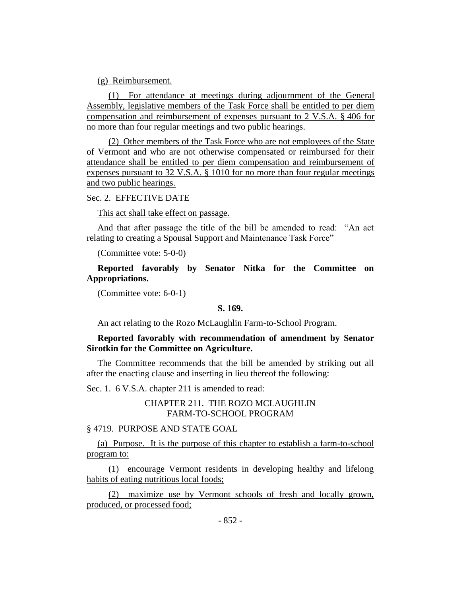(g) Reimbursement.

(1) For attendance at meetings during adjournment of the General Assembly, legislative members of the Task Force shall be entitled to per diem compensation and reimbursement of expenses pursuant to 2 V.S.A. § 406 for no more than four regular meetings and two public hearings.

(2) Other members of the Task Force who are not employees of the State of Vermont and who are not otherwise compensated or reimbursed for their attendance shall be entitled to per diem compensation and reimbursement of expenses pursuant to 32 V.S.A. § 1010 for no more than four regular meetings and two public hearings.

#### Sec. 2. EFFECTIVE DATE

This act shall take effect on passage.

And that after passage the title of the bill be amended to read: "An act relating to creating a Spousal Support and Maintenance Task Force"

(Committee vote: 5-0-0)

**Reported favorably by Senator Nitka for the Committee on Appropriations.**

(Committee vote: 6-0-1)

#### **S. 169.**

An act relating to the Rozo McLaughlin Farm-to-School Program.

#### **Reported favorably with recommendation of amendment by Senator Sirotkin for the Committee on Agriculture.**

The Committee recommends that the bill be amended by striking out all after the enacting clause and inserting in lieu thereof the following:

Sec. 1. 6 V.S.A. chapter 211 is amended to read:

## CHAPTER 211. THE ROZO MCLAUGHLIN FARM-TO-SCHOOL PROGRAM

## § 4719. PURPOSE AND STATE GOAL

(a) Purpose. It is the purpose of this chapter to establish a farm-to-school program to:

(1) encourage Vermont residents in developing healthy and lifelong habits of eating nutritious local foods;

(2) maximize use by Vermont schools of fresh and locally grown, produced, or processed food;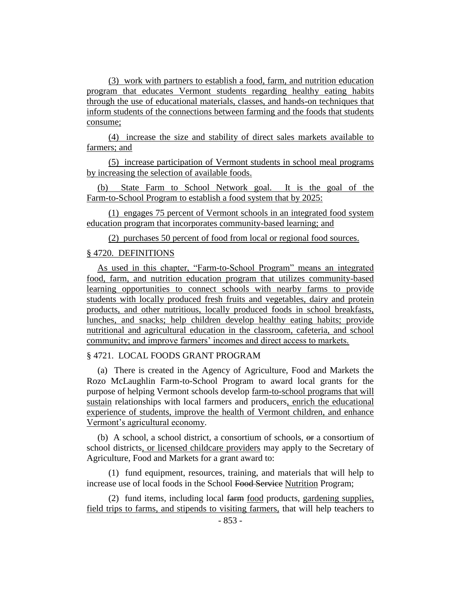(3) work with partners to establish a food, farm, and nutrition education program that educates Vermont students regarding healthy eating habits through the use of educational materials, classes, and hands-on techniques that inform students of the connections between farming and the foods that students consume;

(4) increase the size and stability of direct sales markets available to farmers; and

(5) increase participation of Vermont students in school meal programs by increasing the selection of available foods.

(b) State Farm to School Network goal. It is the goal of the Farm-to-School Program to establish a food system that by 2025:

(1) engages 75 percent of Vermont schools in an integrated food system education program that incorporates community-based learning; and

(2) purchases 50 percent of food from local or regional food sources.

## § 4720. DEFINITIONS

As used in this chapter, "Farm-to-School Program" means an integrated food, farm, and nutrition education program that utilizes community-based learning opportunities to connect schools with nearby farms to provide students with locally produced fresh fruits and vegetables, dairy and protein products, and other nutritious, locally produced foods in school breakfasts, lunches, and snacks; help children develop healthy eating habits; provide nutritional and agricultural education in the classroom, cafeteria, and school community; and improve farmers' incomes and direct access to markets.

#### § 4721. LOCAL FOODS GRANT PROGRAM

(a) There is created in the Agency of Agriculture, Food and Markets the Rozo McLaughlin Farm-to-School Program to award local grants for the purpose of helping Vermont schools develop farm-to-school programs that will sustain relationships with local farmers and producers, enrich the educational experience of students, improve the health of Vermont children, and enhance Vermont's agricultural economy.

(b) A school, a school district, a consortium of schools,  $\Theta$  a consortium of school districts, or licensed childcare providers may apply to the Secretary of Agriculture, Food and Markets for a grant award to:

(1) fund equipment, resources, training, and materials that will help to increase use of local foods in the School Food Service Nutrition Program;

(2) fund items, including local farm food products, gardening supplies, field trips to farms, and stipends to visiting farmers, that will help teachers to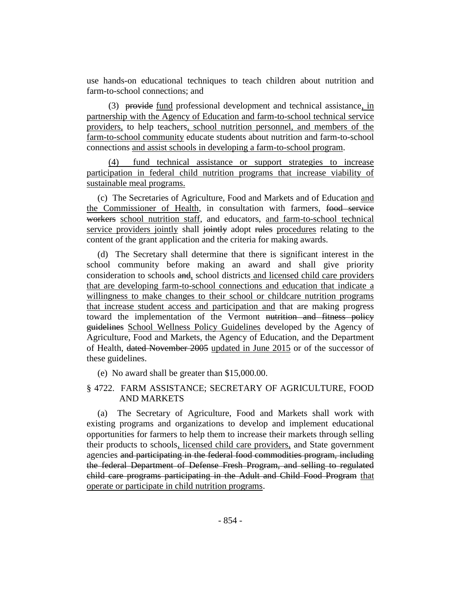use hands-on educational techniques to teach children about nutrition and farm-to-school connections; and

(3) provide fund professional development and technical assistance, in partnership with the Agency of Education and farm-to-school technical service providers, to help teachers, school nutrition personnel, and members of the farm-to-school community educate students about nutrition and farm-to-school connections and assist schools in developing a farm-to-school program.

(4) fund technical assistance or support strategies to increase participation in federal child nutrition programs that increase viability of sustainable meal programs.

(c) The Secretaries of Agriculture, Food and Markets and of Education and the Commissioner of Health, in consultation with farmers, food service workers school nutrition staff, and educators, and farm-to-school technical service providers jointly shall jointly adopt rules procedures relating to the content of the grant application and the criteria for making awards.

(d) The Secretary shall determine that there is significant interest in the school community before making an award and shall give priority consideration to schools and, school districts and licensed child care providers that are developing farm-to-school connections and education that indicate a willingness to make changes to their school or childcare nutrition programs that increase student access and participation and that are making progress toward the implementation of the Vermont nutrition and fitness policy guidelines School Wellness Policy Guidelines developed by the Agency of Agriculture, Food and Markets, the Agency of Education, and the Department of Health, dated November 2005 updated in June 2015 or of the successor of these guidelines.

(e) No award shall be greater than \$15,000.00.

## § 4722. FARM ASSISTANCE; SECRETARY OF AGRICULTURE, FOOD AND MARKETS

(a) The Secretary of Agriculture, Food and Markets shall work with existing programs and organizations to develop and implement educational opportunities for farmers to help them to increase their markets through selling their products to schools, licensed child care providers, and State government agencies and participating in the federal food commodities program, including the federal Department of Defense Fresh Program, and selling to regulated child care programs participating in the Adult and Child Food Program that operate or participate in child nutrition programs.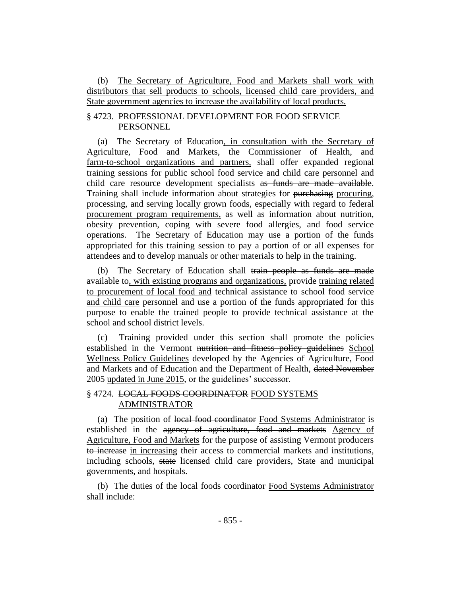(b) The Secretary of Agriculture, Food and Markets shall work with distributors that sell products to schools, licensed child care providers, and State government agencies to increase the availability of local products.

## § 4723. PROFESSIONAL DEVELOPMENT FOR FOOD SERVICE PERSONNEL

(a) The Secretary of Education, in consultation with the Secretary of Agriculture, Food and Markets, the Commissioner of Health, and farm-to-school organizations and partners, shall offer expanded regional training sessions for public school food service and child care personnel and child care resource development specialists as funds are made available. Training shall include information about strategies for purchasing procuring, processing, and serving locally grown foods, especially with regard to federal procurement program requirements, as well as information about nutrition, obesity prevention, coping with severe food allergies, and food service operations. The Secretary of Education may use a portion of the funds appropriated for this training session to pay a portion of or all expenses for attendees and to develop manuals or other materials to help in the training.

(b) The Secretary of Education shall train people as funds are made available to, with existing programs and organizations, provide training related to procurement of local food and technical assistance to school food service and child care personnel and use a portion of the funds appropriated for this purpose to enable the trained people to provide technical assistance at the school and school district levels.

(c) Training provided under this section shall promote the policies established in the Vermont nutrition and fitness policy guidelines School Wellness Policy Guidelines developed by the Agencies of Agriculture, Food and Markets and of Education and the Department of Health, dated November 2005 updated in June 2015, or the guidelines' successor.

## § 4724. LOCAL FOODS COORDINATOR FOOD SYSTEMS ADMINISTRATOR

(a) The position of local food coordinator Food Systems Administrator is established in the agency of agriculture, food and markets Agency of Agriculture, Food and Markets for the purpose of assisting Vermont producers to increase in increasing their access to commercial markets and institutions, including schools, state licensed child care providers, State and municipal governments, and hospitals.

(b) The duties of the local foods coordinator Food Systems Administrator shall include: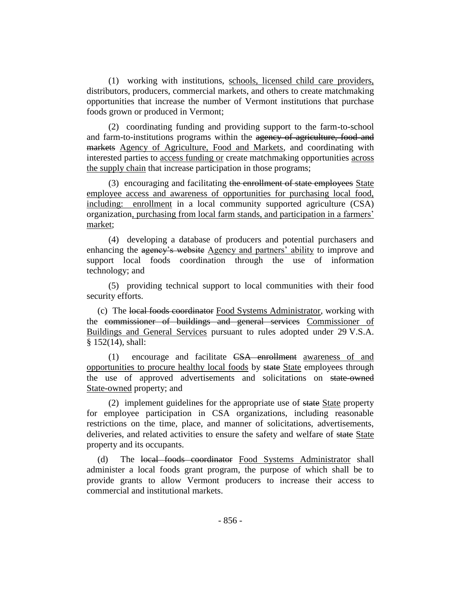(1) working with institutions, schools, licensed child care providers, distributors, producers, commercial markets, and others to create matchmaking opportunities that increase the number of Vermont institutions that purchase foods grown or produced in Vermont;

(2) coordinating funding and providing support to the farm-to-school and farm-to-institutions programs within the agency of agriculture, food and markets Agency of Agriculture, Food and Markets, and coordinating with interested parties to access funding or create matchmaking opportunities across the supply chain that increase participation in those programs;

(3) encouraging and facilitating the enrollment of state employees State employee access and awareness of opportunities for purchasing local food, including: enrollment in a local community supported agriculture (CSA) organization, purchasing from local farm stands, and participation in a farmers' market;

(4) developing a database of producers and potential purchasers and enhancing the agency's website Agency and partners' ability to improve and support local foods coordination through the use of information technology; and

(5) providing technical support to local communities with their food security efforts.

(c) The local foods coordinator Food Systems Administrator, working with the commissioner of buildings and general services Commissioner of Buildings and General Services pursuant to rules adopted under 29 V.S.A. § 152(14), shall:

(1) encourage and facilitate CSA enrollment awareness of and opportunities to procure healthy local foods by state State employees through the use of approved advertisements and solicitations on state-owned State-owned property; and

(2) implement guidelines for the appropriate use of state State property for employee participation in CSA organizations, including reasonable restrictions on the time, place, and manner of solicitations, advertisements, deliveries, and related activities to ensure the safety and welfare of state State property and its occupants.

(d) The local foods coordinator Food Systems Administrator shall administer a local foods grant program, the purpose of which shall be to provide grants to allow Vermont producers to increase their access to commercial and institutional markets.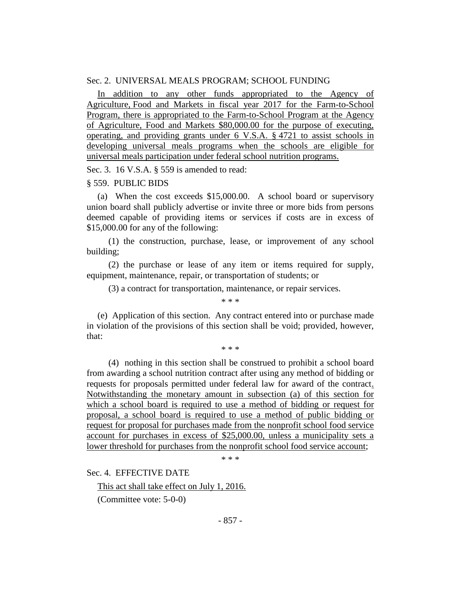#### Sec. 2. UNIVERSAL MEALS PROGRAM; SCHOOL FUNDING

In addition to any other funds appropriated to the Agency of Agriculture, Food and Markets in fiscal year 2017 for the Farm-to-School Program, there is appropriated to the Farm-to-School Program at the Agency of Agriculture, Food and Markets \$80,000.00 for the purpose of executing, operating, and providing grants under 6 V.S.A. § 4721 to assist schools in developing universal meals programs when the schools are eligible for universal meals participation under federal school nutrition programs.

Sec. 3. 16 V.S.A. § 559 is amended to read:

#### § 559. PUBLIC BIDS

(a) When the cost exceeds \$15,000.00. A school board or supervisory union board shall publicly advertise or invite three or more bids from persons deemed capable of providing items or services if costs are in excess of \$15,000.00 for any of the following:

(1) the construction, purchase, lease, or improvement of any school building;

(2) the purchase or lease of any item or items required for supply, equipment, maintenance, repair, or transportation of students; or

(3) a contract for transportation, maintenance, or repair services. \* \* \*

(e) Application of this section. Any contract entered into or purchase made in violation of the provisions of this section shall be void; provided, however, that:

\* \* \*

(4) nothing in this section shall be construed to prohibit a school board from awarding a school nutrition contract after using any method of bidding or requests for proposals permitted under federal law for award of the contract. Notwithstanding the monetary amount in subsection (a) of this section for which a school board is required to use a method of bidding or request for proposal, a school board is required to use a method of public bidding or request for proposal for purchases made from the nonprofit school food service account for purchases in excess of \$25,000.00, unless a municipality sets a lower threshold for purchases from the nonprofit school food service account;

\* \* \*

Sec. 4. EFFECTIVE DATE

This act shall take effect on July 1, 2016.

(Committee vote: 5-0-0)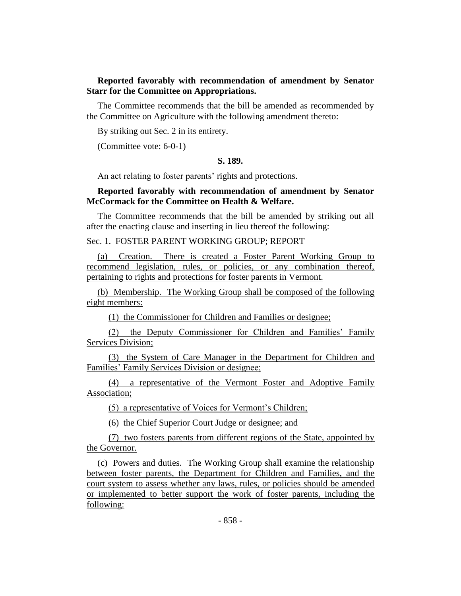## **Reported favorably with recommendation of amendment by Senator Starr for the Committee on Appropriations.**

The Committee recommends that the bill be amended as recommended by the Committee on Agriculture with the following amendment thereto:

By striking out Sec. 2 in its entirety.

(Committee vote: 6-0-1)

## **S. 189.**

An act relating to foster parents' rights and protections.

### **Reported favorably with recommendation of amendment by Senator McCormack for the Committee on Health & Welfare.**

The Committee recommends that the bill be amended by striking out all after the enacting clause and inserting in lieu thereof the following:

Sec. 1. FOSTER PARENT WORKING GROUP; REPORT

(a) Creation. There is created a Foster Parent Working Group to recommend legislation, rules, or policies, or any combination thereof, pertaining to rights and protections for foster parents in Vermont.

(b) Membership. The Working Group shall be composed of the following eight members:

(1) the Commissioner for Children and Families or designee;

(2) the Deputy Commissioner for Children and Families' Family Services Division;

(3) the System of Care Manager in the Department for Children and Families' Family Services Division or designee;

(4) a representative of the Vermont Foster and Adoptive Family Association;

(5) a representative of Voices for Vermont's Children;

(6) the Chief Superior Court Judge or designee; and

(7) two fosters parents from different regions of the State, appointed by the Governor.

(c) Powers and duties. The Working Group shall examine the relationship between foster parents, the Department for Children and Families, and the court system to assess whether any laws, rules, or policies should be amended or implemented to better support the work of foster parents, including the following: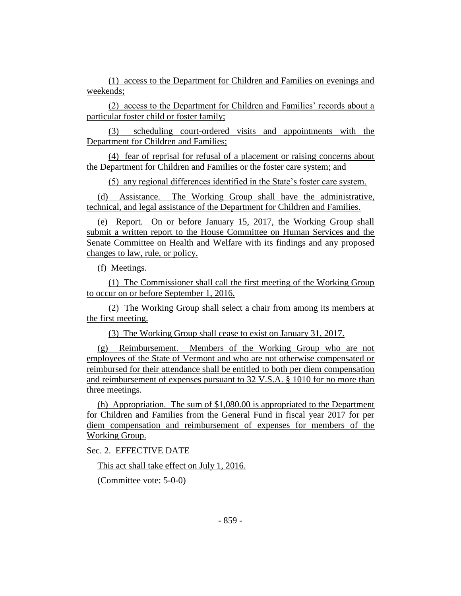(1) access to the Department for Children and Families on evenings and weekends;

(2) access to the Department for Children and Families' records about a particular foster child or foster family;

(3) scheduling court-ordered visits and appointments with the Department for Children and Families;

(4) fear of reprisal for refusal of a placement or raising concerns about the Department for Children and Families or the foster care system; and

(5) any regional differences identified in the State's foster care system.

(d) Assistance. The Working Group shall have the administrative, technical, and legal assistance of the Department for Children and Families.

(e) Report. On or before January 15, 2017, the Working Group shall submit a written report to the House Committee on Human Services and the Senate Committee on Health and Welfare with its findings and any proposed changes to law, rule, or policy.

(f) Meetings.

(1) The Commissioner shall call the first meeting of the Working Group to occur on or before September 1, 2016.

(2) The Working Group shall select a chair from among its members at the first meeting.

(3) The Working Group shall cease to exist on January 31, 2017.

(g) Reimbursement. Members of the Working Group who are not employees of the State of Vermont and who are not otherwise compensated or reimbursed for their attendance shall be entitled to both per diem compensation and reimbursement of expenses pursuant to 32 V.S.A. § 1010 for no more than three meetings.

(h) Appropriation. The sum of \$1,080.00 is appropriated to the Department for Children and Families from the General Fund in fiscal year 2017 for per diem compensation and reimbursement of expenses for members of the Working Group.

Sec. 2. EFFECTIVE DATE

This act shall take effect on July 1, 2016.

(Committee vote: 5-0-0)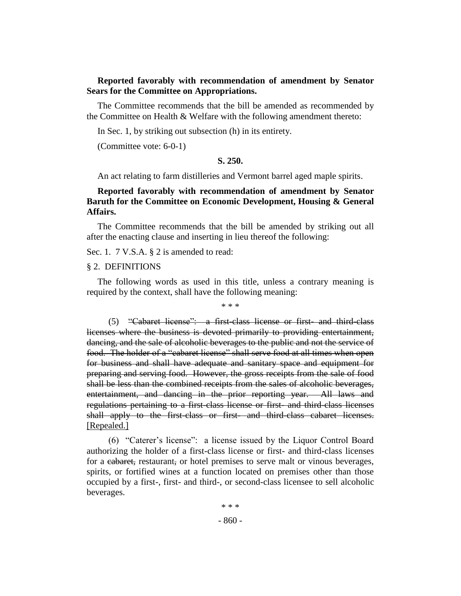## **Reported favorably with recommendation of amendment by Senator Sears for the Committee on Appropriations.**

The Committee recommends that the bill be amended as recommended by the Committee on Health & Welfare with the following amendment thereto:

In Sec. 1, by striking out subsection (h) in its entirety.

(Committee vote: 6-0-1)

#### **S. 250.**

An act relating to farm distilleries and Vermont barrel aged maple spirits.

## **Reported favorably with recommendation of amendment by Senator Baruth for the Committee on Economic Development, Housing & General Affairs.**

The Committee recommends that the bill be amended by striking out all after the enacting clause and inserting in lieu thereof the following:

Sec. 1. 7 V.S.A. § 2 is amended to read:

#### § 2. DEFINITIONS

The following words as used in this title, unless a contrary meaning is required by the context, shall have the following meaning:

\* \* \*

 $(5)$  "Cabaret license": a first-class license or first- and third-class licenses where the business is devoted primarily to providing entertainment, dancing, and the sale of alcoholic beverages to the public and not the service of food. The holder of a "cabaret license" shall serve food at all times when open for business and shall have adequate and sanitary space and equipment for preparing and serving food. However, the gross receipts from the sale of food shall be less than the combined receipts from the sales of alcoholic beverages, entertainment, and dancing in the prior reporting year. All laws and regulations pertaining to a first-class license or first- and third-class licenses shall apply to the first-class or first- and third-class cabaret licenses. [Repealed.]

(6) "Caterer's license": a license issued by the Liquor Control Board authorizing the holder of a first-class license or first- and third-class licenses for a eabaret, restaurant, or hotel premises to serve malt or vinous beverages, spirits, or fortified wines at a function located on premises other than those occupied by a first-, first- and third-, or second-class licensee to sell alcoholic beverages.

> - 860 - \* \* \*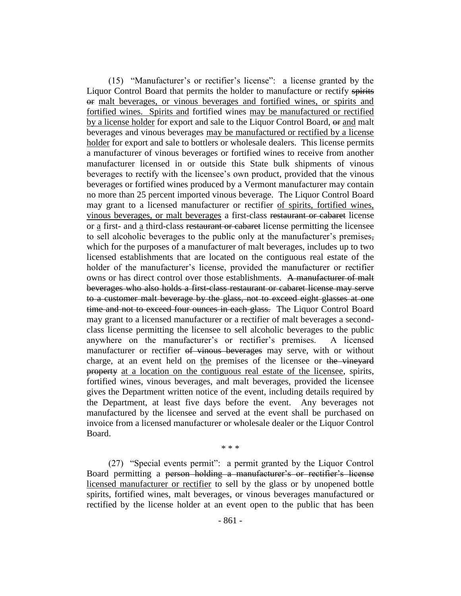(15) "Manufacturer's or rectifier's license": a license granted by the Liquor Control Board that permits the holder to manufacture or rectify spirits or malt beverages, or vinous beverages and fortified wines, or spirits and fortified wines. Spirits and fortified wines may be manufactured or rectified by a license holder for export and sale to the Liquor Control Board,  $\Theta$  and malt beverages and vinous beverages may be manufactured or rectified by a license holder for export and sale to bottlers or wholesale dealers. This license permits a manufacturer of vinous beverages or fortified wines to receive from another manufacturer licensed in or outside this State bulk shipments of vinous beverages to rectify with the licensee's own product, provided that the vinous beverages or fortified wines produced by a Vermont manufacturer may contain no more than 25 percent imported vinous beverage. The Liquor Control Board may grant to a licensed manufacturer or rectifier of spirits, fortified wines, vinous beverages, or malt beverages a first-class restaurant or cabaret license or a first- and a third-class restaurant or cabaret license permitting the licensee to sell alcoholic beverages to the public only at the manufacturer's premises, which for the purposes of a manufacturer of malt beverages, includes up to two licensed establishments that are located on the contiguous real estate of the holder of the manufacturer's license, provided the manufacturer or rectifier owns or has direct control over those establishments. A manufacturer of malt beverages who also holds a first-class restaurant or cabaret license may serve to a customer malt beverage by the glass, not to exceed eight glasses at one time and not to exceed four ounces in each glass. The Liquor Control Board may grant to a licensed manufacturer or a rectifier of malt beverages a secondclass license permitting the licensee to sell alcoholic beverages to the public anywhere on the manufacturer's or rectifier's premises. A licensed manufacturer or rectifier of vinous beverages may serve, with or without charge, at an event held on the premises of the licensee or the vineyard property at a location on the contiguous real estate of the licensee, spirits, fortified wines, vinous beverages, and malt beverages, provided the licensee gives the Department written notice of the event, including details required by the Department, at least five days before the event. Any beverages not manufactured by the licensee and served at the event shall be purchased on invoice from a licensed manufacturer or wholesale dealer or the Liquor Control Board.

\* \* \*

(27) "Special events permit": a permit granted by the Liquor Control Board permitting a person holding a manufacturer's or rectifier's license licensed manufacturer or rectifier to sell by the glass or by unopened bottle spirits, fortified wines, malt beverages, or vinous beverages manufactured or rectified by the license holder at an event open to the public that has been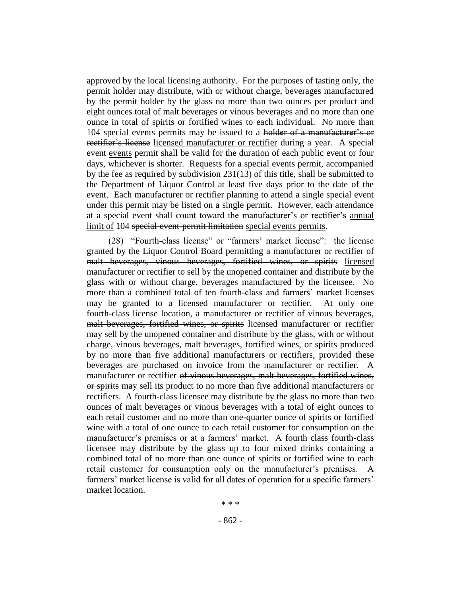approved by the local licensing authority. For the purposes of tasting only, the permit holder may distribute, with or without charge, beverages manufactured by the permit holder by the glass no more than two ounces per product and eight ounces total of malt beverages or vinous beverages and no more than one ounce in total of spirits or fortified wines to each individual. No more than 104 special events permits may be issued to a holder of a manufacturer's or rectifier's license licensed manufacturer or rectifier during a year. A special event events permit shall be valid for the duration of each public event or four days, whichever is shorter. Requests for a special events permit, accompanied by the fee as required by subdivision 231(13) of this title, shall be submitted to the Department of Liquor Control at least five days prior to the date of the event. Each manufacturer or rectifier planning to attend a single special event under this permit may be listed on a single permit. However, each attendance at a special event shall count toward the manufacturer's or rectifier's annual limit of 104 special-event-permit limitation special events permits.

(28) "Fourth-class license" or "farmers' market license": the license granted by the Liquor Control Board permitting a manufacturer or rectifier of malt beverages, vinous beverages, fortified wines, or spirits licensed manufacturer or rectifier to sell by the unopened container and distribute by the glass with or without charge, beverages manufactured by the licensee. No more than a combined total of ten fourth-class and farmers' market licenses may be granted to a licensed manufacturer or rectifier. At only one fourth-class license location, a manufacturer or rectifier of vinous beverages, malt beverages, fortified wines, or spirits licensed manufacturer or rectifier may sell by the unopened container and distribute by the glass, with or without charge, vinous beverages, malt beverages, fortified wines, or spirits produced by no more than five additional manufacturers or rectifiers, provided these beverages are purchased on invoice from the manufacturer or rectifier. A manufacturer or rectifier of vinous beverages, malt beverages, fortified wines, or spirits may sell its product to no more than five additional manufacturers or rectifiers. A fourth-class licensee may distribute by the glass no more than two ounces of malt beverages or vinous beverages with a total of eight ounces to each retail customer and no more than one-quarter ounce of spirits or fortified wine with a total of one ounce to each retail customer for consumption on the manufacturer's premises or at a farmers' market. A fourth-class fourth-class licensee may distribute by the glass up to four mixed drinks containing a combined total of no more than one ounce of spirits or fortified wine to each retail customer for consumption only on the manufacturer's premises. A farmers' market license is valid for all dates of operation for a specific farmers' market location.

\* \* \*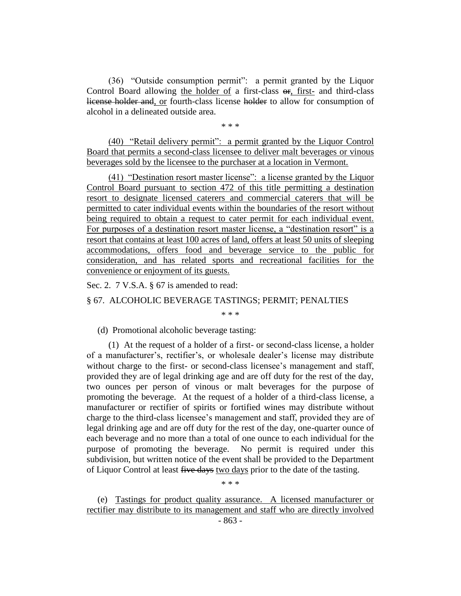(36) "Outside consumption permit": a permit granted by the Liquor Control Board allowing the holder of a first-class  $\Theta$ r, first- and third-class license holder and, or fourth-class license holder to allow for consumption of alcohol in a delineated outside area.

\* \* \*

(40) "Retail delivery permit": a permit granted by the Liquor Control Board that permits a second-class licensee to deliver malt beverages or vinous beverages sold by the licensee to the purchaser at a location in Vermont.

(41) "Destination resort master license": a license granted by the Liquor Control Board pursuant to section 472 of this title permitting a destination resort to designate licensed caterers and commercial caterers that will be permitted to cater individual events within the boundaries of the resort without being required to obtain a request to cater permit for each individual event. For purposes of a destination resort master license, a "destination resort" is a resort that contains at least 100 acres of land, offers at least 50 units of sleeping accommodations, offers food and beverage service to the public for consideration, and has related sports and recreational facilities for the convenience or enjoyment of its guests.

Sec. 2. 7 V.S.A. § 67 is amended to read:

§ 67. ALCOHOLIC BEVERAGE TASTINGS; PERMIT; PENALTIES

\* \* \*

(d) Promotional alcoholic beverage tasting:

(1) At the request of a holder of a first- or second-class license, a holder of a manufacturer's, rectifier's, or wholesale dealer's license may distribute without charge to the first- or second-class licensee's management and staff, provided they are of legal drinking age and are off duty for the rest of the day, two ounces per person of vinous or malt beverages for the purpose of promoting the beverage. At the request of a holder of a third-class license, a manufacturer or rectifier of spirits or fortified wines may distribute without charge to the third-class licensee's management and staff, provided they are of legal drinking age and are off duty for the rest of the day, one-quarter ounce of each beverage and no more than a total of one ounce to each individual for the purpose of promoting the beverage. No permit is required under this subdivision, but written notice of the event shall be provided to the Department of Liquor Control at least five days two days prior to the date of the tasting.

\* \* \*

(e) Tastings for product quality assurance. A licensed manufacturer or rectifier may distribute to its management and staff who are directly involved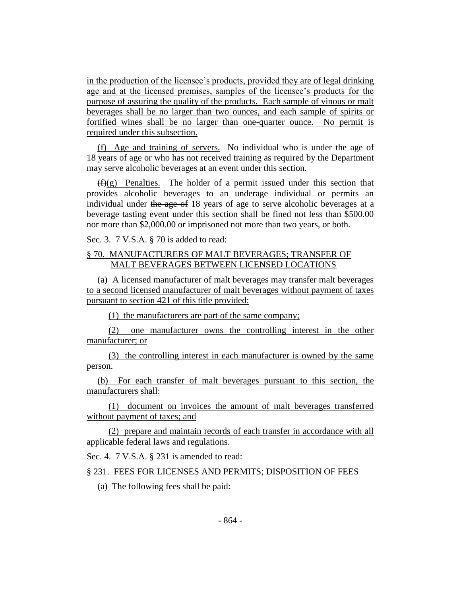in the production of the licensee's products, provided they are of legal drinking age and at the licensed premises, samples of the licensee's products for the purpose of assuring the quality of the products. Each sample of vinous or malt beverages shall be no larger than two ounces, and each sample of spirits or fortified wines shall be no larger than one-quarter ounce. No permit is required under this subsection.

(f) Age and training of servers. No individual who is under the age of 18 years of age or who has not received training as required by the Department may serve alcoholic beverages at an event under this section.

 $(f)(g)$  Penalties. The holder of a permit issued under this section that provides alcoholic beverages to an underage individual or permits an individual under the age of 18 years of age to serve alcoholic beverages at a beverage tasting event under this section shall be fined not less than \$500.00 nor more than \$2,000.00 or imprisoned not more than two years, or both.

Sec. 3. 7 V.S.A. § 70 is added to read:

## § 70. MANUFACTURERS OF MALT BEVERAGES; TRANSFER OF MALT BEVERAGES BETWEEN LICENSED LOCATIONS

(a) A licensed manufacturer of malt beverages may transfer malt beverages to a second licensed manufacturer of malt beverages without payment of taxes pursuant to section 421 of this title provided:

(1) the manufacturers are part of the same company;

(2) one manufacturer owns the controlling interest in the other manufacturer; or

(3) the controlling interest in each manufacturer is owned by the same person.

(b) For each transfer of malt beverages pursuant to this section, the manufacturers shall:

(1) document on invoices the amount of malt beverages transferred without payment of taxes; and

(2) prepare and maintain records of each transfer in accordance with all applicable federal laws and regulations.

Sec. 4. 7 V.S.A. § 231 is amended to read:

## § 231. FEES FOR LICENSES AND PERMITS; DISPOSITION OF FEES

(a) The following fees shall be paid: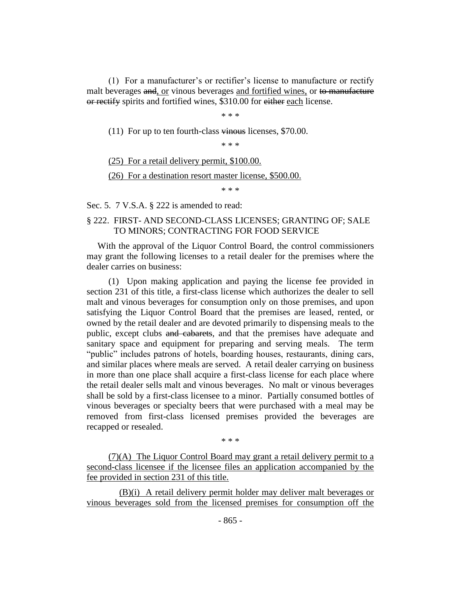(1) For a manufacturer's or rectifier's license to manufacture or rectify malt beverages and, or vinous beverages and fortified wines, or to manufacture or rectify spirits and fortified wines, \$310.00 for either each license.

\* \* \*

(11) For up to ten fourth-class vinous licenses,  $$70.00$ .

\* \* \*

(25) For a retail delivery permit, \$100.00.

(26) For a destination resort master license, \$500.00.

\* \* \*

Sec. 5. 7 V.S.A. § 222 is amended to read:

## § 222. FIRST- AND SECOND-CLASS LICENSES; GRANTING OF; SALE TO MINORS; CONTRACTING FOR FOOD SERVICE

With the approval of the Liquor Control Board, the control commissioners may grant the following licenses to a retail dealer for the premises where the dealer carries on business:

(1) Upon making application and paying the license fee provided in section 231 of this title, a first-class license which authorizes the dealer to sell malt and vinous beverages for consumption only on those premises, and upon satisfying the Liquor Control Board that the premises are leased, rented, or owned by the retail dealer and are devoted primarily to dispensing meals to the public, except clubs and cabarets, and that the premises have adequate and sanitary space and equipment for preparing and serving meals. The term "public" includes patrons of hotels, boarding houses, restaurants, dining cars, and similar places where meals are served. A retail dealer carrying on business in more than one place shall acquire a first-class license for each place where the retail dealer sells malt and vinous beverages. No malt or vinous beverages shall be sold by a first-class licensee to a minor. Partially consumed bottles of vinous beverages or specialty beers that were purchased with a meal may be removed from first-class licensed premises provided the beverages are recapped or resealed.

\* \* \*

(7)(A) The Liquor Control Board may grant a retail delivery permit to a second-class licensee if the licensee files an application accompanied by the fee provided in section 231 of this title.

(B)(i) A retail delivery permit holder may deliver malt beverages or vinous beverages sold from the licensed premises for consumption off the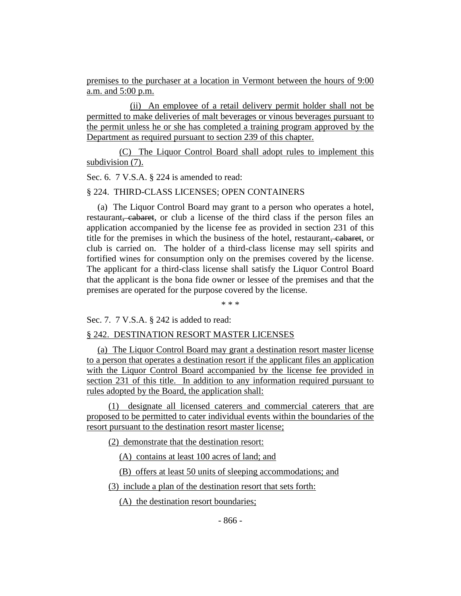premises to the purchaser at a location in Vermont between the hours of 9:00 a.m. and 5:00 p.m.

(ii) An employee of a retail delivery permit holder shall not be permitted to make deliveries of malt beverages or vinous beverages pursuant to the permit unless he or she has completed a training program approved by the Department as required pursuant to section 239 of this chapter.

(C) The Liquor Control Board shall adopt rules to implement this subdivision (7).

Sec. 6. 7 V.S.A. § 224 is amended to read:

## § 224. THIRD-CLASS LICENSES; OPEN CONTAINERS

(a) The Liquor Control Board may grant to a person who operates a hotel, restaurant, cabaret, or club a license of the third class if the person files an application accompanied by the license fee as provided in section 231 of this title for the premises in which the business of the hotel, restaurant, cabaret, or club is carried on. The holder of a third-class license may sell spirits and fortified wines for consumption only on the premises covered by the license. The applicant for a third-class license shall satisfy the Liquor Control Board that the applicant is the bona fide owner or lessee of the premises and that the premises are operated for the purpose covered by the license.

\* \* \*

Sec. 7. 7 V.S.A. § 242 is added to read:

#### § 242. DESTINATION RESORT MASTER LICENSES

(a) The Liquor Control Board may grant a destination resort master license to a person that operates a destination resort if the applicant files an application with the Liquor Control Board accompanied by the license fee provided in section 231 of this title. In addition to any information required pursuant to rules adopted by the Board, the application shall:

(1) designate all licensed caterers and commercial caterers that are proposed to be permitted to cater individual events within the boundaries of the resort pursuant to the destination resort master license;

(2) demonstrate that the destination resort:

(A) contains at least 100 acres of land; and

(B) offers at least 50 units of sleeping accommodations; and

(3) include a plan of the destination resort that sets forth:

(A) the destination resort boundaries;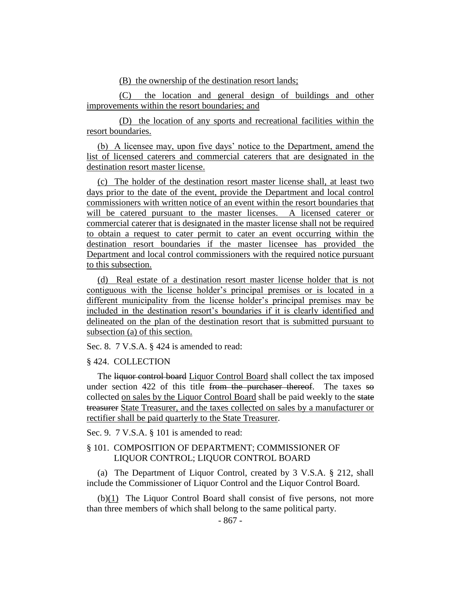(B) the ownership of the destination resort lands;

(C) the location and general design of buildings and other improvements within the resort boundaries; and

(D) the location of any sports and recreational facilities within the resort boundaries.

(b) A licensee may, upon five days' notice to the Department, amend the list of licensed caterers and commercial caterers that are designated in the destination resort master license.

(c) The holder of the destination resort master license shall, at least two days prior to the date of the event, provide the Department and local control commissioners with written notice of an event within the resort boundaries that will be catered pursuant to the master licenses. A licensed caterer or commercial caterer that is designated in the master license shall not be required to obtain a request to cater permit to cater an event occurring within the destination resort boundaries if the master licensee has provided the Department and local control commissioners with the required notice pursuant to this subsection.

(d) Real estate of a destination resort master license holder that is not contiguous with the license holder's principal premises or is located in a different municipality from the license holder's principal premises may be included in the destination resort's boundaries if it is clearly identified and delineated on the plan of the destination resort that is submitted pursuant to subsection (a) of this section.

Sec. 8. 7 V.S.A. § 424 is amended to read:

#### § 424. COLLECTION

The liquor control board Liquor Control Board shall collect the tax imposed under section 422 of this title from the purchaser thereof. The taxes  $\overline{50}$ collected on sales by the Liquor Control Board shall be paid weekly to the state treasurer State Treasurer, and the taxes collected on sales by a manufacturer or rectifier shall be paid quarterly to the State Treasurer.

Sec. 9. 7 V.S.A. § 101 is amended to read:

## § 101. COMPOSITION OF DEPARTMENT; COMMISSIONER OF LIQUOR CONTROL; LIQUOR CONTROL BOARD

(a) The Department of Liquor Control, created by 3 V.S.A. § 212, shall include the Commissioner of Liquor Control and the Liquor Control Board.

(b)(1) The Liquor Control Board shall consist of five persons, not more than three members of which shall belong to the same political party.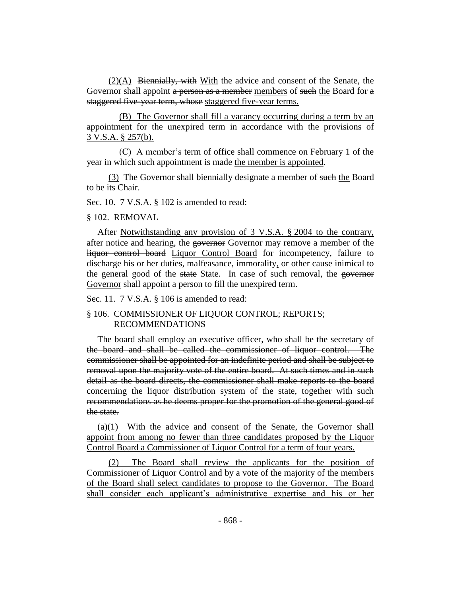(2)(A) Biennially, with With the advice and consent of the Senate, the Governor shall appoint a person as a member members of such the Board for a staggered five-year term, whose staggered five-year terms.

(B) The Governor shall fill a vacancy occurring during a term by an appointment for the unexpired term in accordance with the provisions of 3 V.S.A. § 257(b).

(C) A member's term of office shall commence on February 1 of the year in which such appointment is made the member is appointed.

(3) The Governor shall biennially designate a member of such the Board to be its Chair.

Sec. 10. 7 V.S.A. § 102 is amended to read:

§ 102. REMOVAL

After Notwithstanding any provision of 3 V.S.A. § 2004 to the contrary, after notice and hearing, the governor Governor may remove a member of the liquor control board Liquor Control Board for incompetency, failure to discharge his or her duties, malfeasance, immorality, or other cause inimical to the general good of the state State. In case of such removal, the governor Governor shall appoint a person to fill the unexpired term.

Sec. 11. 7 V.S.A. § 106 is amended to read:

§ 106. COMMISSIONER OF LIQUOR CONTROL; REPORTS; RECOMMENDATIONS

The board shall employ an executive officer, who shall be the secretary of the board and shall be called the commissioner of liquor control. The commissioner shall be appointed for an indefinite period and shall be subject to removal upon the majority vote of the entire board. At such times and in such detail as the board directs, the commissioner shall make reports to the board concerning the liquor distribution system of the state, together with such recommendations as he deems proper for the promotion of the general good of the state.

(a)(1) With the advice and consent of the Senate, the Governor shall appoint from among no fewer than three candidates proposed by the Liquor Control Board a Commissioner of Liquor Control for a term of four years.

(2) The Board shall review the applicants for the position of Commissioner of Liquor Control and by a vote of the majority of the members of the Board shall select candidates to propose to the Governor. The Board shall consider each applicant's administrative expertise and his or her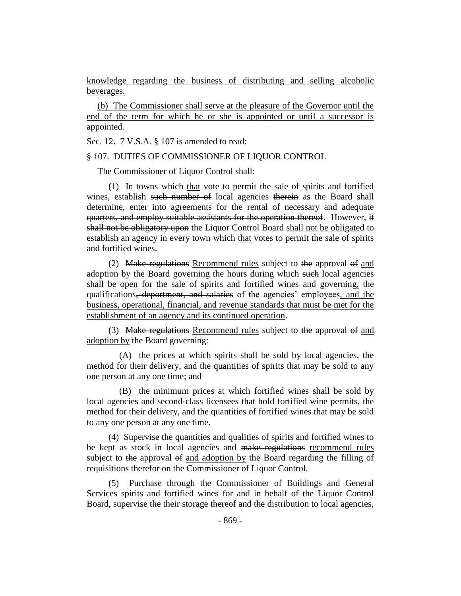knowledge regarding the business of distributing and selling alcoholic beverages.

(b) The Commissioner shall serve at the pleasure of the Governor until the end of the term for which he or she is appointed or until a successor is appointed.

Sec. 12. 7 V.S.A. § 107 is amended to read:

#### § 107. DUTIES OF COMMISSIONER OF LIQUOR CONTROL

The Commissioner of Liquor Control shall:

(1) In towns which that vote to permit the sale of spirits and fortified wines, establish such number of local agencies therein as the Board shall determine, enter into agreements for the rental of necessary and adequate quarters, and employ suitable assistants for the operation thereof. However, it shall not be obligatory upon the Liquor Control Board shall not be obligated to establish an agency in every town which that votes to permit the sale of spirits and fortified wines.

(2) Make regulations Recommend rules subject to the approval of and adoption by the Board governing the hours during which such local agencies shall be open for the sale of spirits and fortified wines and governing, the qualifications, deportment, and salaries of the agencies' employees, and the business, operational, financial, and revenue standards that must be met for the establishment of an agency and its continued operation.

(3) Make regulations Recommend rules subject to the approval  $\Theta$  and adoption by the Board governing:

(A) the prices at which spirits shall be sold by local agencies, the method for their delivery, and the quantities of spirits that may be sold to any one person at any one time; and

(B) the minimum prices at which fortified wines shall be sold by local agencies and second-class licensees that hold fortified wine permits, the method for their delivery, and the quantities of fortified wines that may be sold to any one person at any one time.

(4) Supervise the quantities and qualities of spirits and fortified wines to be kept as stock in local agencies and make regulations recommend rules subject to the approval of and adoption by the Board regarding the filling of requisitions therefor on the Commissioner of Liquor Control.

(5) Purchase through the Commissioner of Buildings and General Services spirits and fortified wines for and in behalf of the Liquor Control Board, supervise the their storage thereof and the distribution to local agencies,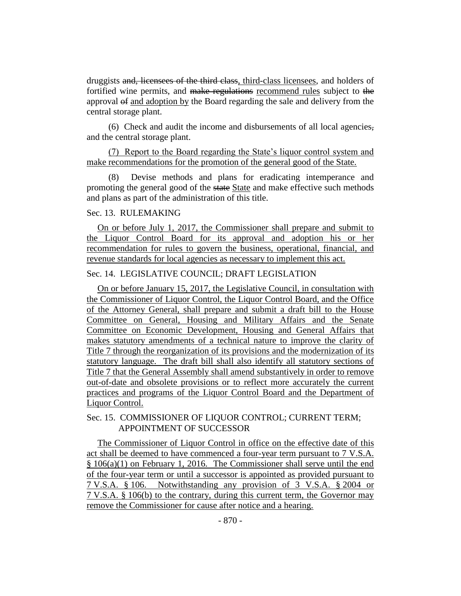druggists and, licensees of the third class, third-class licensees, and holders of fortified wine permits, and make regulations recommend rules subject to the approval of and adoption by the Board regarding the sale and delivery from the central storage plant.

(6) Check and audit the income and disbursements of all local agencies, and the central storage plant.

(7) Report to the Board regarding the State's liquor control system and make recommendations for the promotion of the general good of the State.

(8) Devise methods and plans for eradicating intemperance and promoting the general good of the state State and make effective such methods and plans as part of the administration of this title.

### Sec. 13. RULEMAKING

On or before July 1, 2017, the Commissioner shall prepare and submit to the Liquor Control Board for its approval and adoption his or her recommendation for rules to govern the business, operational, financial, and revenue standards for local agencies as necessary to implement this act.

## Sec. 14. LEGISLATIVE COUNCIL; DRAFT LEGISLATION

On or before January 15, 2017, the Legislative Council, in consultation with the Commissioner of Liquor Control, the Liquor Control Board, and the Office of the Attorney General, shall prepare and submit a draft bill to the House Committee on General, Housing and Military Affairs and the Senate Committee on Economic Development, Housing and General Affairs that makes statutory amendments of a technical nature to improve the clarity of Title 7 through the reorganization of its provisions and the modernization of its statutory language. The draft bill shall also identify all statutory sections of Title 7 that the General Assembly shall amend substantively in order to remove out-of-date and obsolete provisions or to reflect more accurately the current practices and programs of the Liquor Control Board and the Department of Liquor Control.

## Sec. 15. COMMISSIONER OF LIQUOR CONTROL; CURRENT TERM; APPOINTMENT OF SUCCESSOR

The Commissioner of Liquor Control in office on the effective date of this act shall be deemed to have commenced a four-year term pursuant to 7 V.S.A. § 106(a)(1) on February 1, 2016. The Commissioner shall serve until the end of the four-year term or until a successor is appointed as provided pursuant to 7 V.S.A. § 106. Notwithstanding any provision of 3 V.S.A. § 2004 or 7 V.S.A. § 106(b) to the contrary, during this current term, the Governor may remove the Commissioner for cause after notice and a hearing.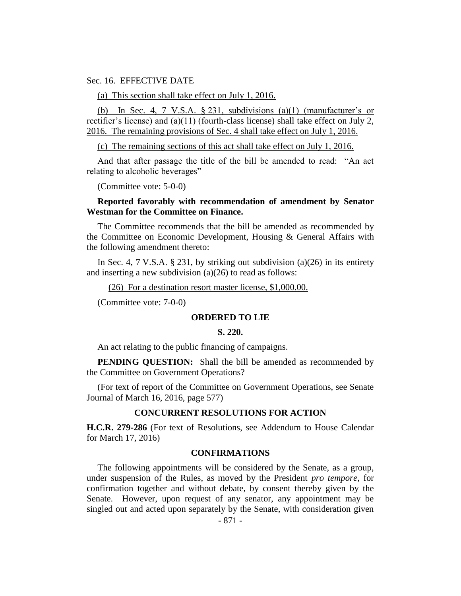Sec. 16. EFFECTIVE DATE

(a) This section shall take effect on July 1, 2016.

(b) In Sec. 4, 7 V.S.A.  $\S 231$ , subdivisions (a)(1) (manufacturer's or rectifier's license) and (a)(11) (fourth-class license) shall take effect on July 2, 2016. The remaining provisions of Sec. 4 shall take effect on July 1, 2016.

(c) The remaining sections of this act shall take effect on July 1, 2016.

And that after passage the title of the bill be amended to read: "An act relating to alcoholic beverages"

(Committee vote: 5-0-0)

#### **Reported favorably with recommendation of amendment by Senator Westman for the Committee on Finance.**

The Committee recommends that the bill be amended as recommended by the Committee on Economic Development, Housing & General Affairs with the following amendment thereto:

In Sec. 4, 7 V.S.A. § 231, by striking out subdivision (a)(26) in its entirety and inserting a new subdivision (a)(26) to read as follows:

(26) For a destination resort master license, \$1,000.00.

(Committee vote: 7-0-0)

#### **ORDERED TO LIE**

#### **S. 220.**

An act relating to the public financing of campaigns.

**PENDING QUESTION:** Shall the bill be amended as recommended by the Committee on Government Operations?

(For text of report of the Committee on Government Operations, see Senate Journal of March 16, 2016, page 577)

## **CONCURRENT RESOLUTIONS FOR ACTION**

**H.C.R. 279-286** (For text of Resolutions, see Addendum to House Calendar for March 17, 2016)

#### **CONFIRMATIONS**

The following appointments will be considered by the Senate, as a group, under suspension of the Rules, as moved by the President *pro tempore,* for confirmation together and without debate, by consent thereby given by the Senate. However, upon request of any senator, any appointment may be singled out and acted upon separately by the Senate, with consideration given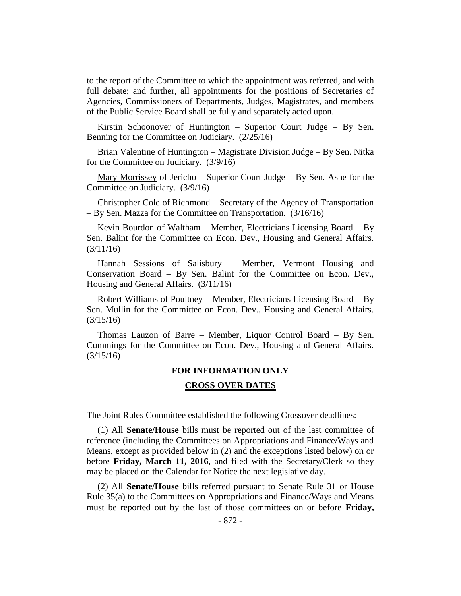to the report of the Committee to which the appointment was referred, and with full debate; and further, all appointments for the positions of Secretaries of Agencies, Commissioners of Departments, Judges, Magistrates, and members of the Public Service Board shall be fully and separately acted upon.

Kirstin Schoonover of Huntington – Superior Court Judge – By Sen. Benning for the Committee on Judiciary. (2/25/16)

Brian Valentine of Huntington – Magistrate Division Judge – By Sen. Nitka for the Committee on Judiciary. (3/9/16)

Mary Morrissey of Jericho – Superior Court Judge – By Sen. Ashe for the Committee on Judiciary. (3/9/16)

Christopher Cole of Richmond – Secretary of the Agency of Transportation – By Sen. Mazza for the Committee on Transportation. (3/16/16)

Kevin Bourdon of Waltham – Member, Electricians Licensing Board – By Sen. Balint for the Committee on Econ. Dev., Housing and General Affairs. (3/11/16)

Hannah Sessions of Salisbury – Member, Vermont Housing and Conservation Board – By Sen. Balint for the Committee on Econ. Dev., Housing and General Affairs. (3/11/16)

Robert Williams of Poultney – Member, Electricians Licensing Board – By Sen. Mullin for the Committee on Econ. Dev., Housing and General Affairs. (3/15/16)

Thomas Lauzon of Barre – Member, Liquor Control Board – By Sen. Cummings for the Committee on Econ. Dev., Housing and General Affairs. (3/15/16)

# **FOR INFORMATION ONLY CROSS OVER DATES**

The Joint Rules Committee established the following Crossover deadlines:

(1) All **Senate/House** bills must be reported out of the last committee of reference (including the Committees on Appropriations and Finance/Ways and Means, except as provided below in (2) and the exceptions listed below) on or before **Friday, March 11, 2016**, and filed with the Secretary/Clerk so they may be placed on the Calendar for Notice the next legislative day.

(2) All **Senate/House** bills referred pursuant to Senate Rule 31 or House Rule 35(a) to the Committees on Appropriations and Finance/Ways and Means must be reported out by the last of those committees on or before **Friday,**